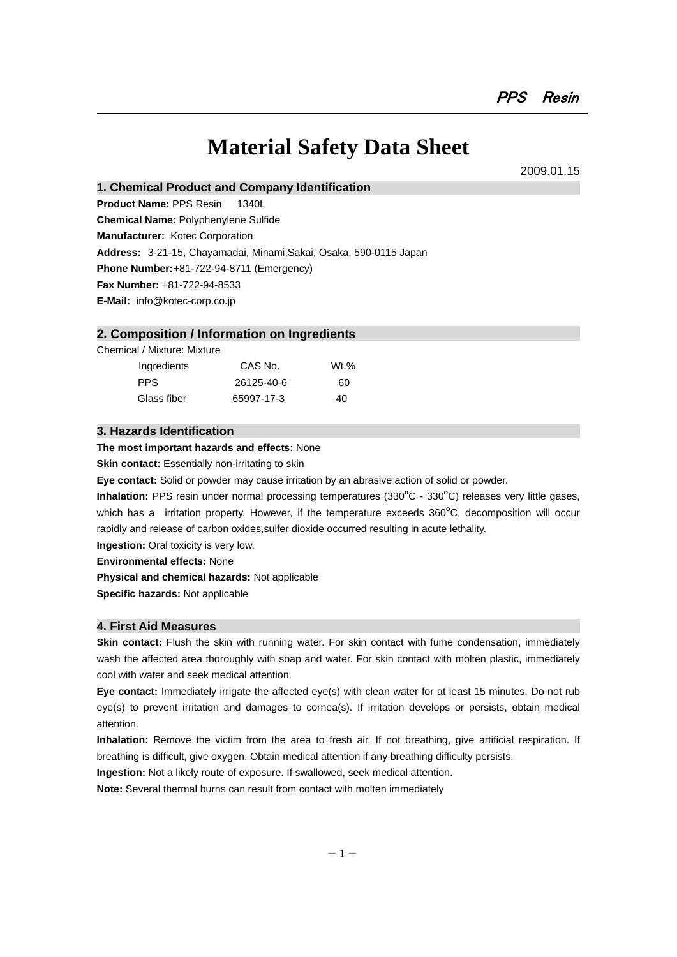# **Material Safety Data Sheet**

2009.01.15

**1. Chemical Product and Company Identification** 

**Product Name:** PPS Resin 1340L

**Chemical Name:** Polyphenylene Sulfide

**Manufacturer:** Kotec Corporation

**Address:** 3-21-15, Chayamadai, Minami,Sakai, Osaka, 590-0115 Japan

**Phone Number:** +81-722-94-8711 (Emergency)

**Fax Number:** +81-722-94-8533

**E-Mail:** info@kotec-corp.co.jp

# **2. Composition / Information on Ingredients**

Chemical / Mixture: Mixture

| Ingredients | CAS No.    | $Wt.$ % |
|-------------|------------|---------|
| PPS.        | 26125-40-6 | 60      |
| Glass fiber | 65997-17-3 | 40      |

# **3. Hazards Identification**

**The most important hazards and effects:** None

**Skin contact:** Essentially non-irritating to skin

**Eye contact:** Solid or powder may cause irritation by an abrasive action of solid or powder.

Inhalation: PPS resin under normal processing temperatures (330°C - 330°C) releases very little gases, which has a irritation property. However, if the temperature exceeds 360°C, decomposition will occur rapidly and release of carbon oxides,sulfer dioxide occurred resulting in acute lethality.

**Ingestion:** Oral toxicity is very low.

**Environmental effects:** None

**Physical and chemical hazards:** Not applicable

**Specific hazards:** Not applicable

# **4. First Aid Measures**

**Skin contact:** Flush the skin with running water. For skin contact with fume condensation, immediately wash the affected area thoroughly with soap and water. For skin contact with molten plastic, immediately cool with water and seek medical attention.

**Eye contact:** Immediately irrigate the affected eye(s) with clean water for at least 15 minutes. Do not rub eye(s) to prevent irritation and damages to cornea(s). If irritation develops or persists, obtain medical attention.

**Inhalation:** Remove the victim from the area to fresh air. If not breathing, give artificial respiration. If breathing is difficult, give oxygen. Obtain medical attention if any breathing difficulty persists.

**Ingestion:** Not a likely route of exposure. If swallowed, seek medical attention.

**Note:** Several thermal burns can result from contact with molten immediately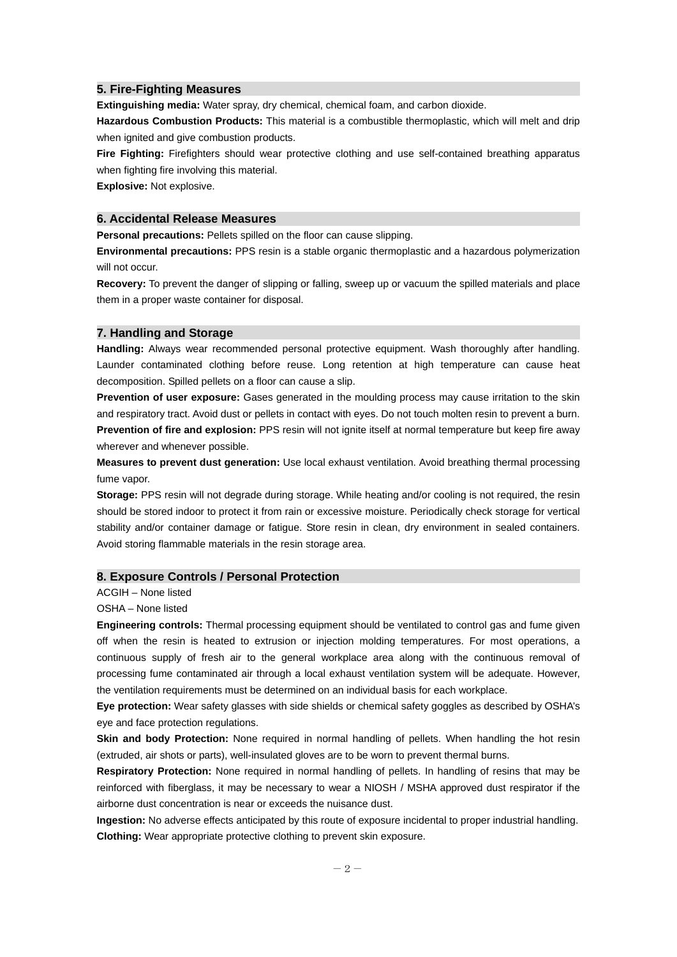#### **5. Fire-Fighting Measures**

**Extinguishing media:** Water spray, dry chemical, chemical foam, and carbon dioxide.

**Hazardous Combustion Products:** This material is a combustible thermoplastic, which will melt and drip when ignited and give combustion products.

**Fire Fighting:** Firefighters should wear protective clothing and use self-contained breathing apparatus when fighting fire involving this material.

**Explosive:** Not explosive.

## **6. Accidental Release Measures**

**Personal precautions:** Pellets spilled on the floor can cause slipping.

**Environmental precautions:** PPS resin is a stable organic thermoplastic and a hazardous polymerization will not occur.

**Recovery:** To prevent the danger of slipping or falling, sweep up or vacuum the spilled materials and place them in a proper waste container for disposal.

### **7. Handling and Storage**

**Handling:** Always wear recommended personal protective equipment. Wash thoroughly after handling. Launder contaminated clothing before reuse. Long retention at high temperature can cause heat decomposition. Spilled pellets on a floor can cause a slip.

**Prevention of user exposure:** Gases generated in the moulding process may cause irritation to the skin and respiratory tract. Avoid dust or pellets in contact with eyes. Do not touch molten resin to prevent a burn. **Prevention of fire and explosion:** PPS resin will not ignite itself at normal temperature but keep fire away wherever and whenever possible.

**Measures to prevent dust generation:** Use local exhaust ventilation. Avoid breathing thermal processing fume vapor.

**Storage:** PPS resin will not degrade during storage. While heating and/or cooling is not required, the resin should be stored indoor to protect it from rain or excessive moisture. Periodically check storage for vertical stability and/or container damage or fatigue. Store resin in clean, dry environment in sealed containers. Avoid storing flammable materials in the resin storage area.

#### **8. Exposure Controls / Personal Protection**

ACGIH – None listed

#### OSHA – None listed

**Engineering controls:** Thermal processing equipment should be ventilated to control gas and fume given off when the resin is heated to extrusion or injection molding temperatures. For most operations, a continuous supply of fresh air to the general workplace area along with the continuous removal of processing fume contaminated air through a local exhaust ventilation system will be adequate. However, the ventilation requirements must be determined on an individual basis for each workplace.

**Eye protection:** Wear safety glasses with side shields or chemical safety goggles as described by OSHA's eye and face protection regulations.

**Skin and body Protection:** None required in normal handling of pellets. When handling the hot resin (extruded, air shots or parts), well-insulated gloves are to be worn to prevent thermal burns.

**Respiratory Protection:** None required in normal handling of pellets. In handling of resins that may be reinforced with fiberglass, it may be necessary to wear a NIOSH / MSHA approved dust respirator if the airborne dust concentration is near or exceeds the nuisance dust.

**Ingestion:** No adverse effects anticipated by this route of exposure incidental to proper industrial handling. **Clothing:** Wear appropriate protective clothing to prevent skin exposure.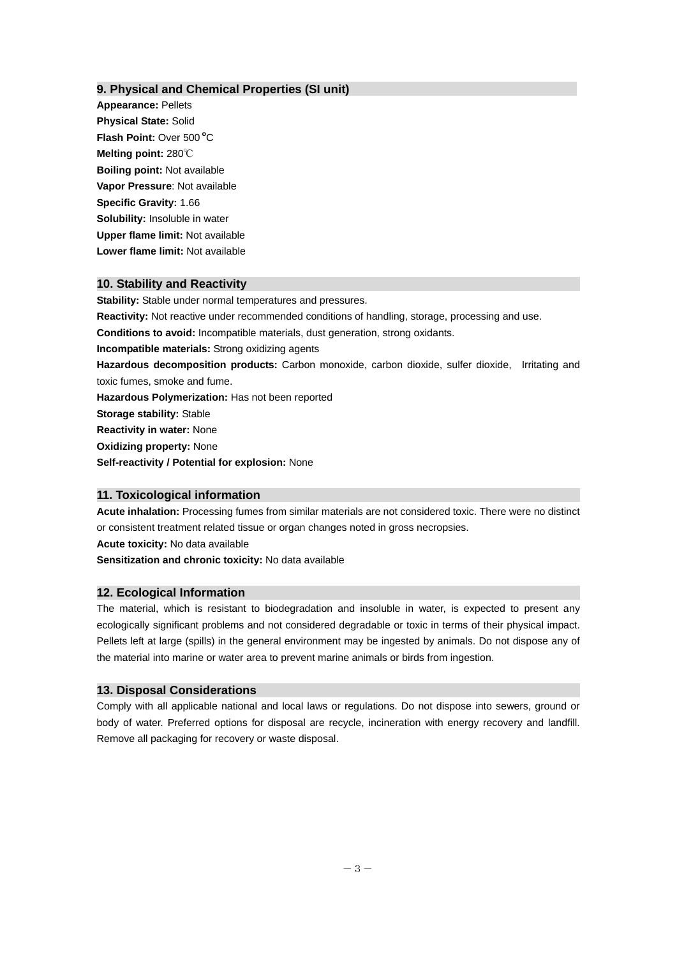# **9. Physical and Chemical Properties (SI unit)**

**Appearance:** Pellets **Physical State:** Solid Flash Point: Over 500°C **Melting point:** 280℃ **Boiling point:** Not available **Vapor Pressure**: Not available **Specific Gravity:** 1.66 **Solubility:** Insoluble in water **Upper flame limit:** Not available **Lower flame limit:** Not available

# **10. Stability and Reactivity**

**Stability:** Stable under normal temperatures and pressures.

**Reactivity:** Not reactive under recommended conditions of handling, storage, processing and use.

**Conditions to avoid:** Incompatible materials, dust generation, strong oxidants.

**Incompatible materials:** Strong oxidizing agents

**Hazardous decomposition products:** Carbon monoxide, carbon dioxide, sulfer dioxide, Irritating and toxic fumes, smoke and fume.

**Hazardous Polymerization:** Has not been reported

**Storage stability:** Stable

**Reactivity in water:** None

**Oxidizing property:** None

**Self-reactivity / Potential for explosion:** None

# **11. Toxicological information**

**Acute inhalation:** Processing fumes from similar materials are not considered toxic. There were no distinct or consistent treatment related tissue or organ changes noted in gross necropsies.

**Acute toxicity:** No data available

**Sensitization and chronic toxicity:** No data available

### **12. Ecological Information**

The material, which is resistant to biodegradation and insoluble in water, is expected to present any ecologically significant problems and not considered degradable or toxic in terms of their physical impact. Pellets left at large (spills) in the general environment may be ingested by animals. Do not dispose any of the material into marine or water area to prevent marine animals or birds from ingestion.

# **13. Disposal Considerations**

Comply with all applicable national and local laws or regulations. Do not dispose into sewers, ground or body of water. Preferred options for disposal are recycle, incineration with energy recovery and landfill. Remove all packaging for recovery or waste disposal.